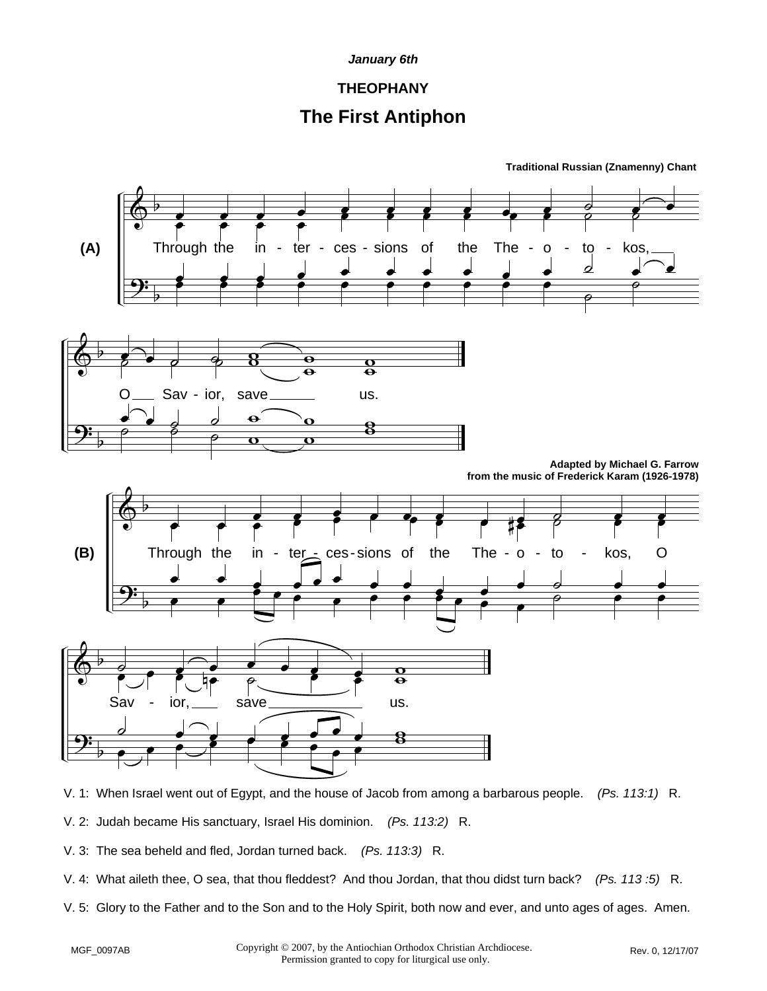### **THEOPHANY**

## **The First Antiphon**



V. 1: When Israel went out of Egypt, and the house of Jacob from among a barbarous people. *(Ps. 113:1)* R.

- V. 2: Judah became His sanctuary, Israel His dominion. *(Ps. 113:2)* R.
- V. 3: The sea beheld and fled, Jordan turned back. *(Ps. 113:3)* R.
- V. 4: What aileth thee, O sea, that thou fleddest? And thou Jordan, that thou didst turn back? *(Ps. 113 :5)* R.
- V. 5: Glory to the Father and to the Son and to the Holy Spirit, both now and ever, and unto ages of ages. Amen.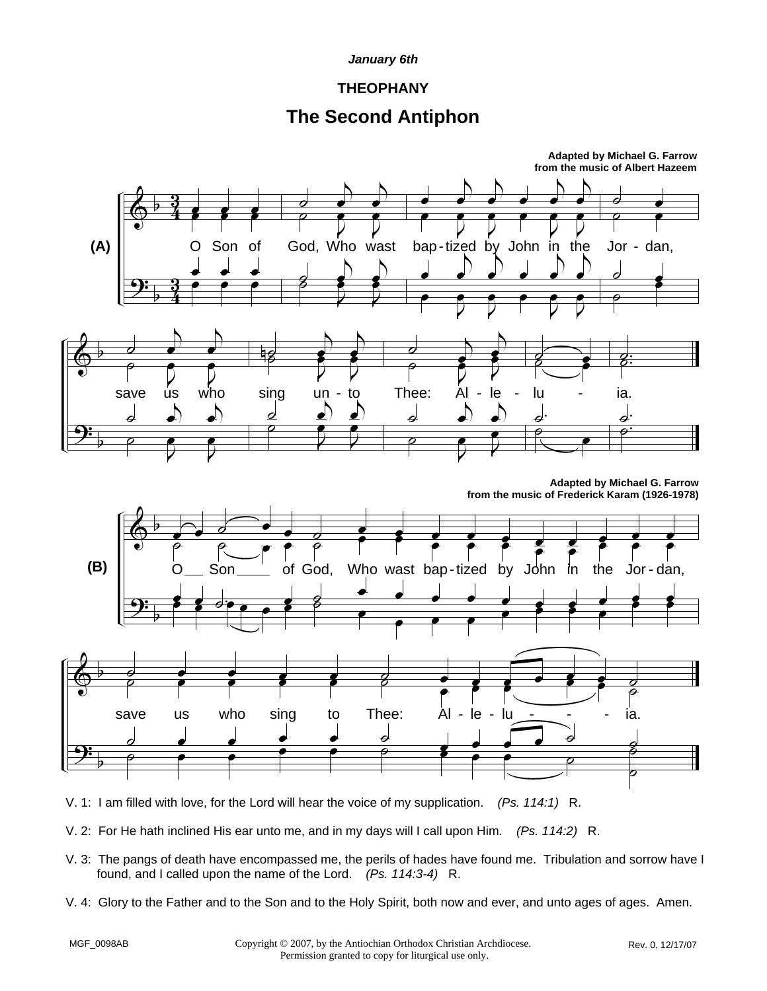### **THEOPHANY**

## **The Second Antiphon**



- V. 1: I am filled with love, for the Lord will hear the voice of my supplication. *(Ps. 114:1)* R.
- V. 2: For He hath inclined His ear unto me, and in my days will I call upon Him. *(Ps. 114:2)* R.
- V. 3: The pangs of death have encompassed me, the perils of hades have found me. Tribulation and sorrow have I found, and I called upon the name of the Lord. *(Ps. 114:3-4)* R.
- V. 4: Glory to the Father and to the Son and to the Holy Spirit, both now and ever, and unto ages of ages. Amen.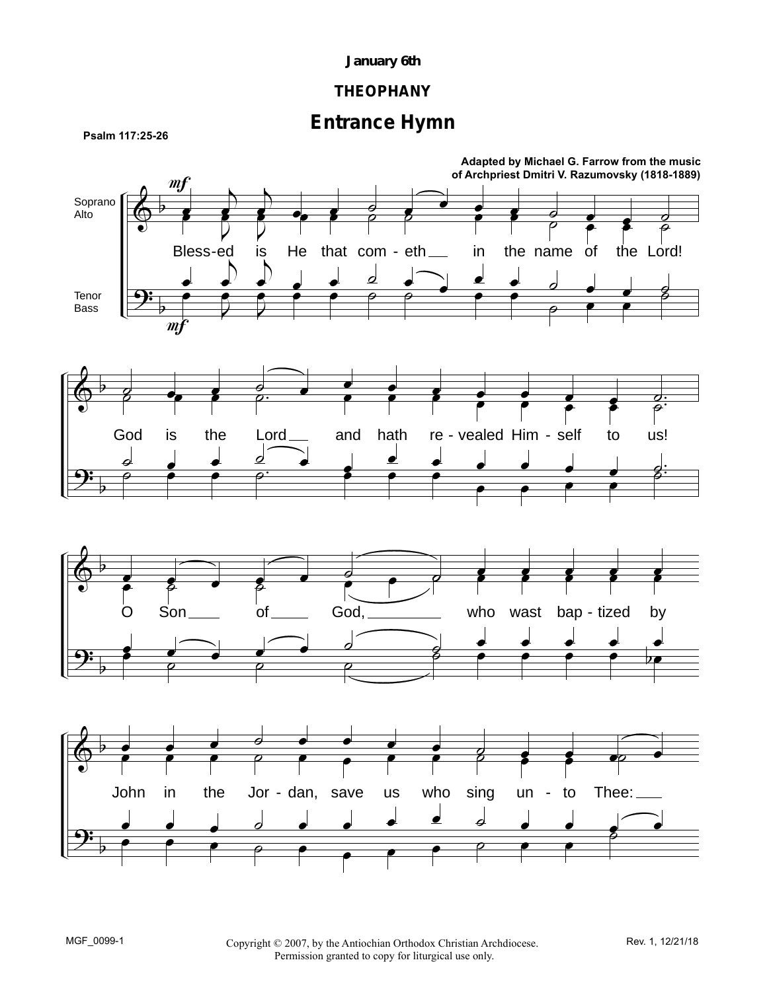## **THEOPHANY**

# **Entrance Hymn**



MGF\_0099-1 Copyright © 2007, by the Antiochian Orthodox Christian Archdiocese. Rev. 1, 12/21/18 Permission granted to copy for liturgical use only.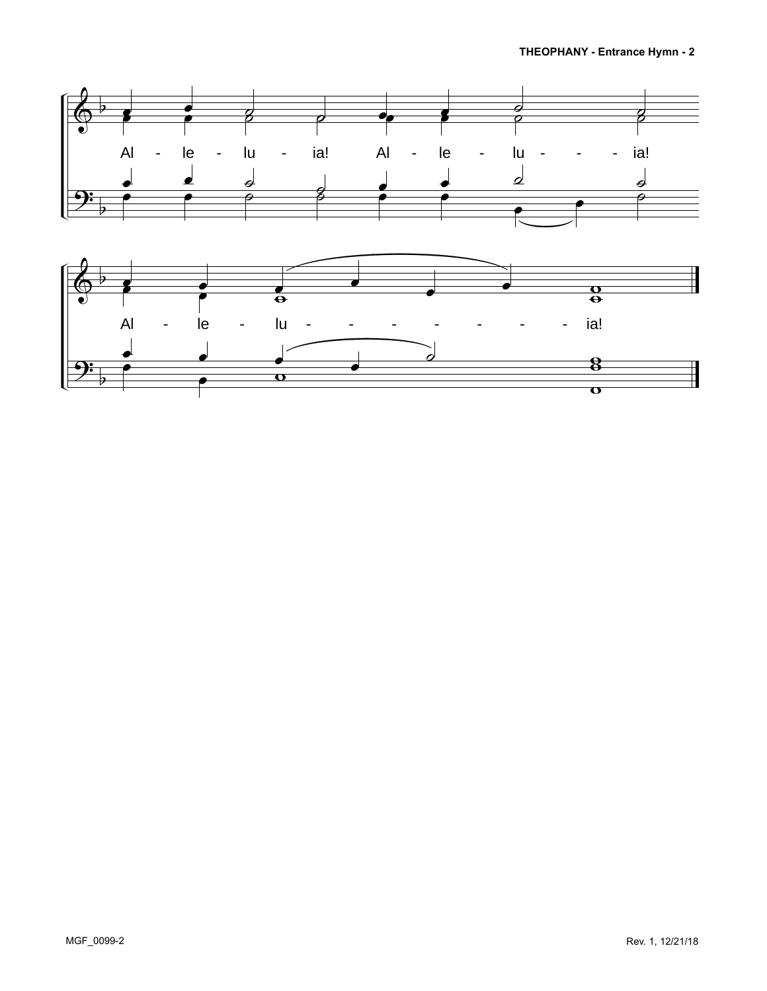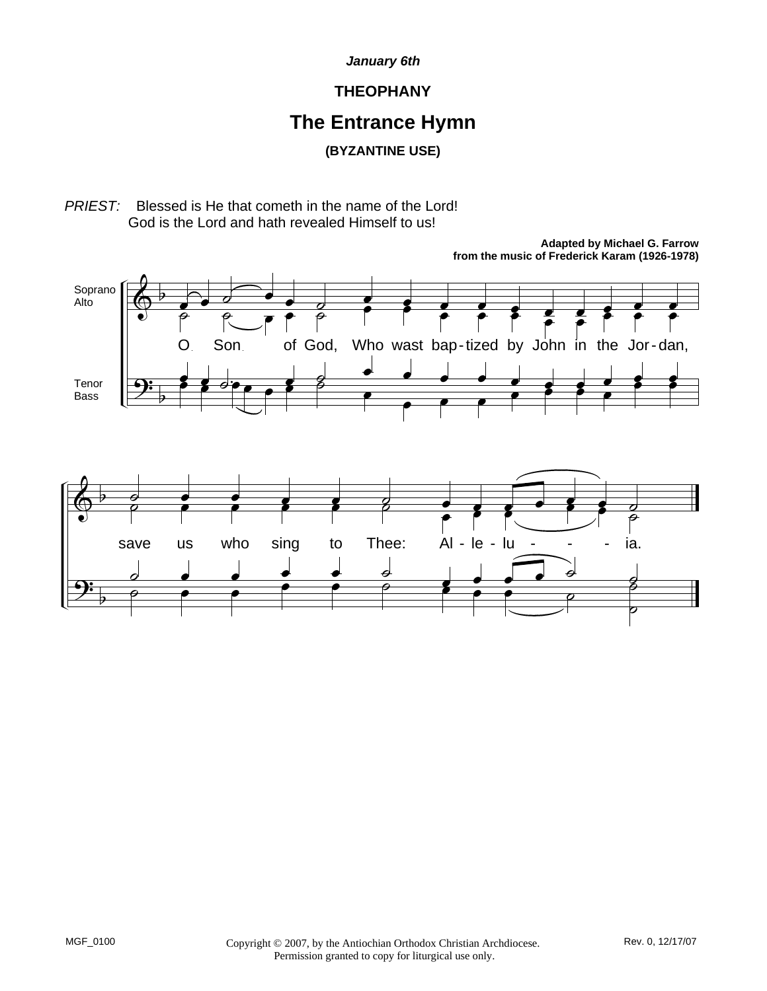### **THEOPHANY**

# **The Entrance Hymn**

**(BYZANTINE USE)**

*PRIEST:* Blessed is He that cometh in the name of the Lord! God is the Lord and hath revealed Himself to us!



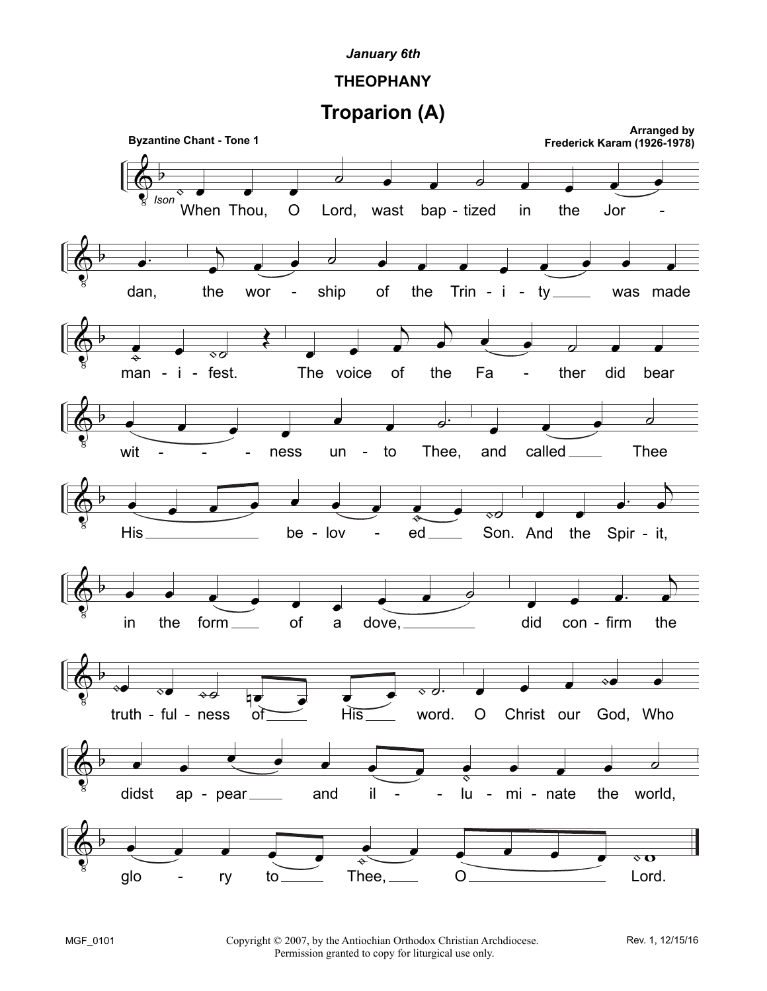## **THEOPHANY**

**Troparion (A)**



Copyright © 2007, by the Antiochian Orthodox Christian Archdiocese. Permission granted to copy for liturgical use only.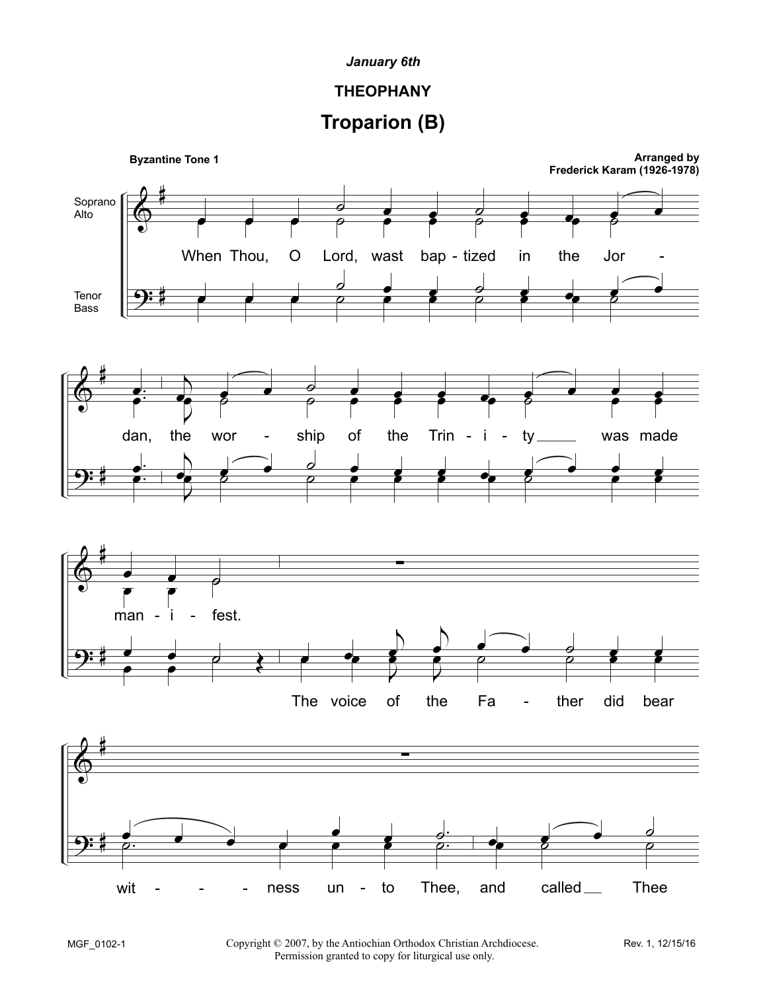## **THEOPHANY**

# **Troparion (B)**

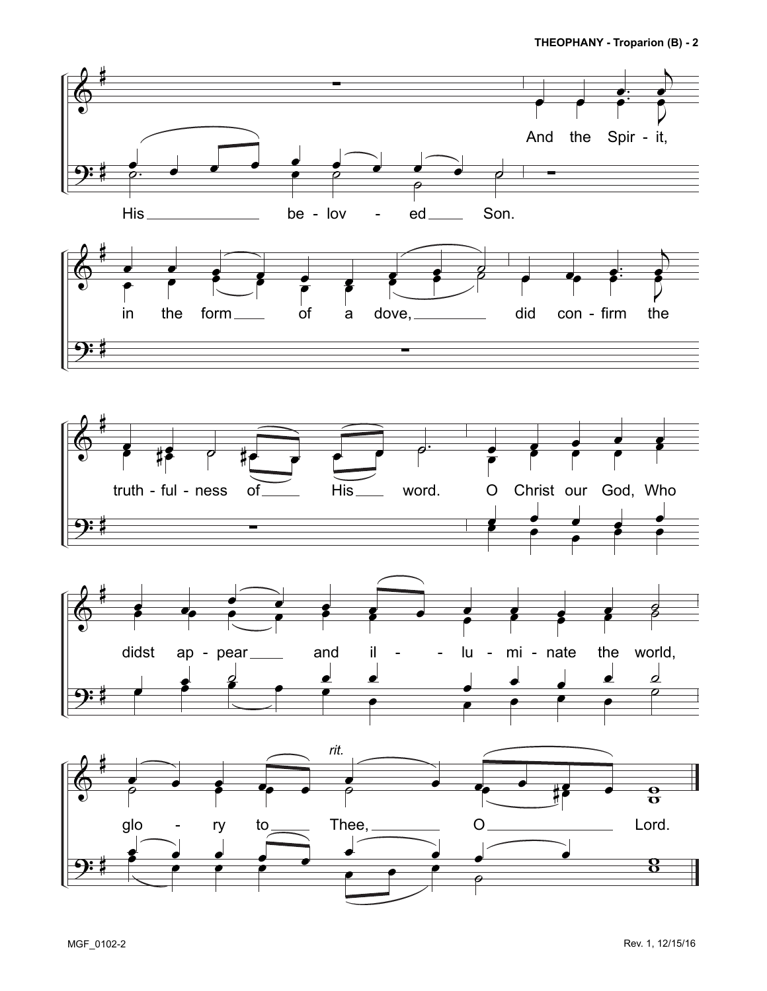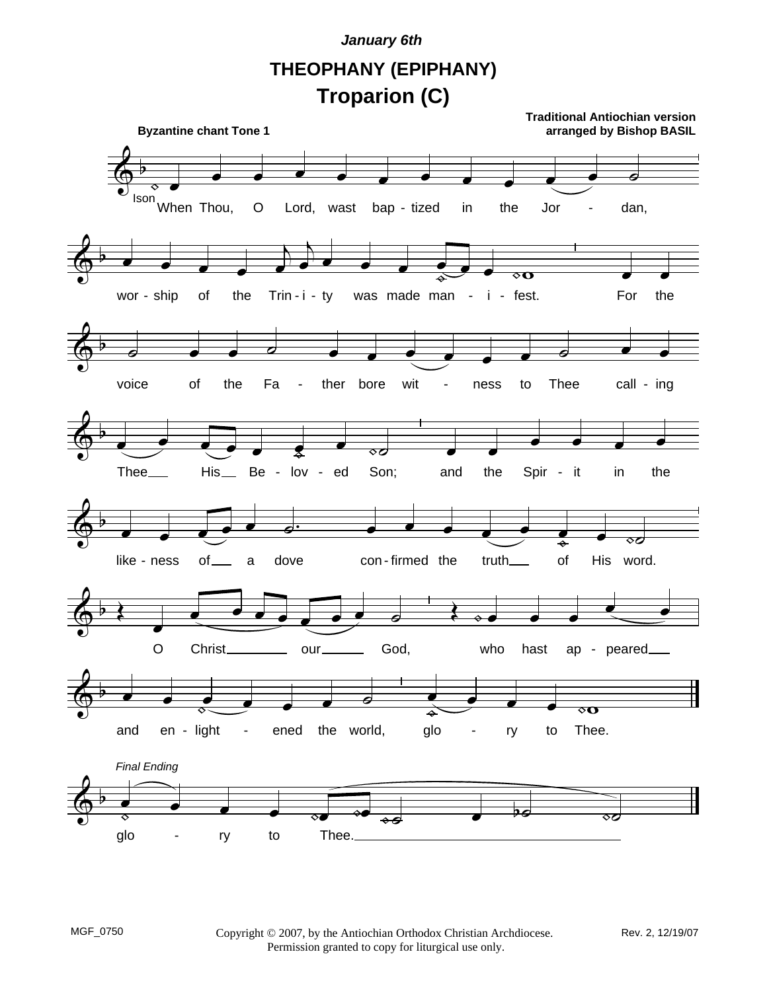**THEOPHANY (EPIPHANY) Troparion (C)**

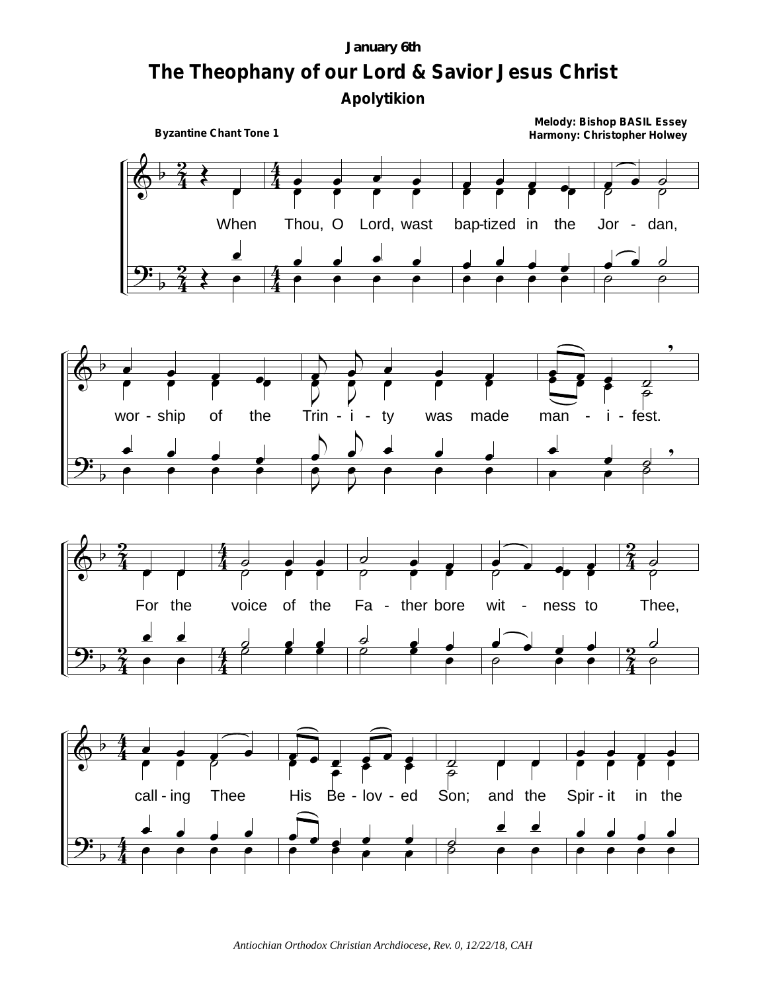# January 6th The Theophany of our Lord & Savior Jesus Christ Apolytikion

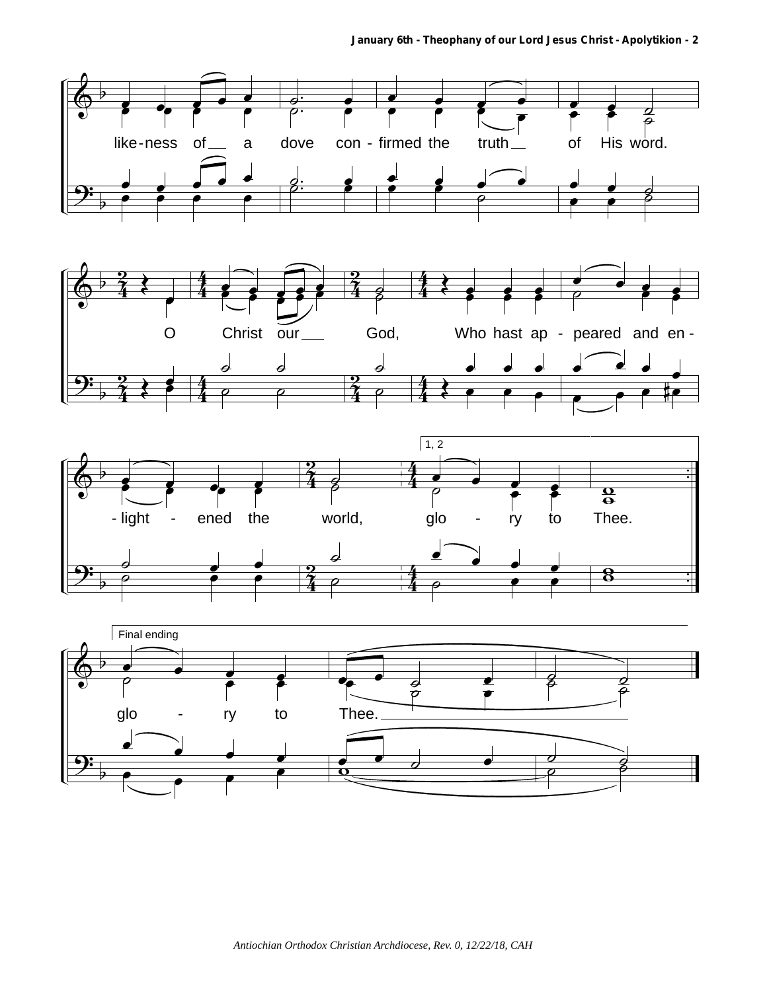





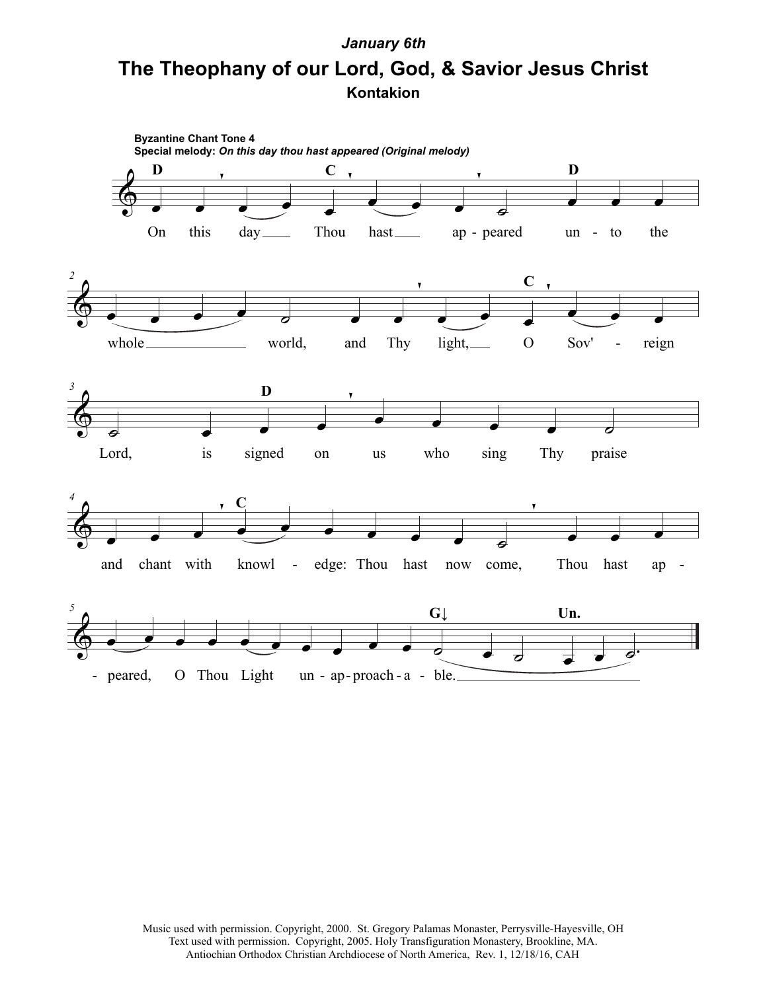# **Kontakion The Theophany of our Lord, God, & Savior Jesus Christ** *January 6th*



Music used with permission. Copyright, 2000. St. Gregory Palamas Monaster, Perrysville-Hayesville, OH Text used with permission. Copyright, 2005. Holy Transfiguration Monastery, Brookline, MA. Antiochian Orthodox Christian Archdiocese of North America, Rev. 1, 12/18/16, CAH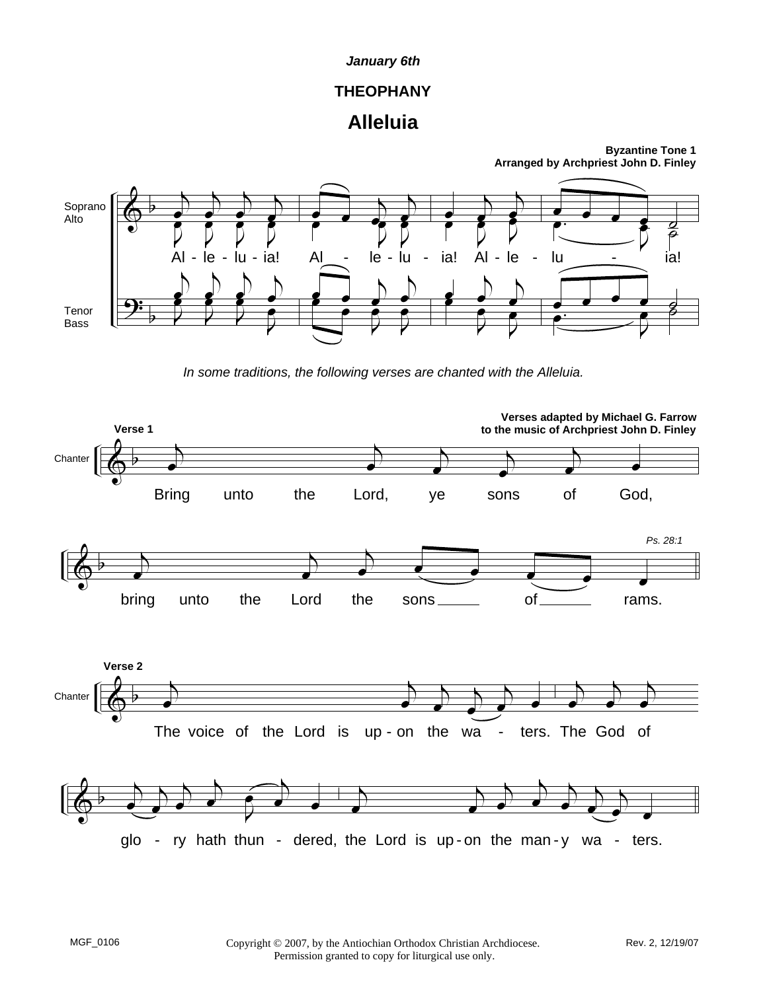# **THEOPHANY**

# **Alleluia**



*In some traditions, the following verses are chanted with the Alleluia.*

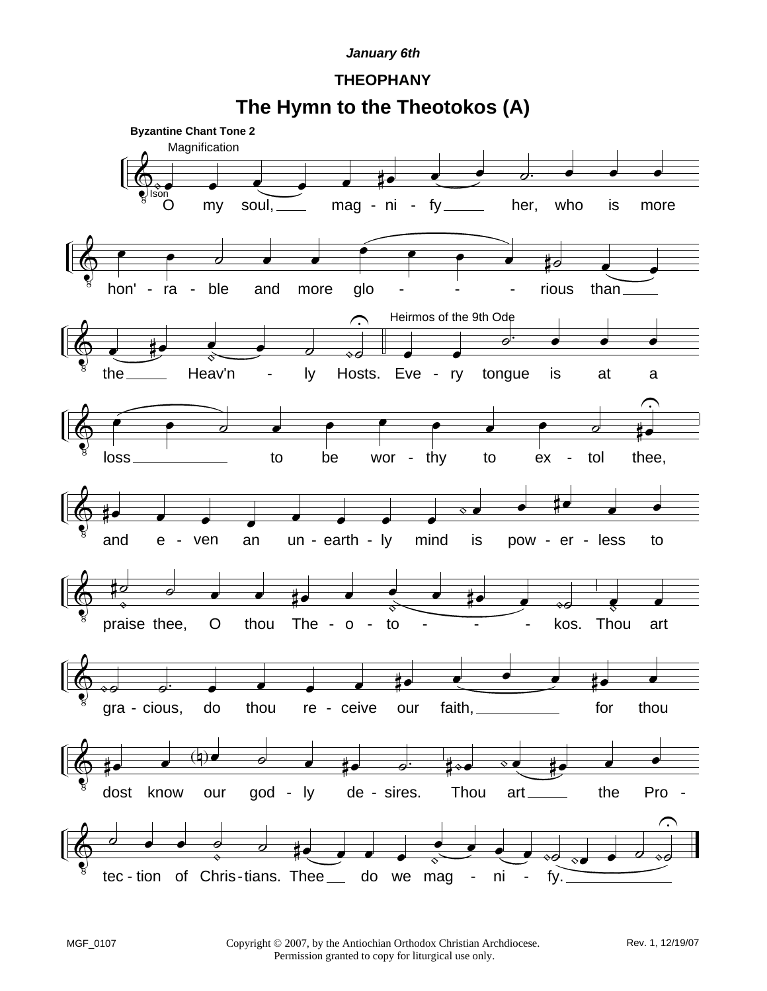## **THEOPHANY**

**The Hymn to the Theotokos (A)**

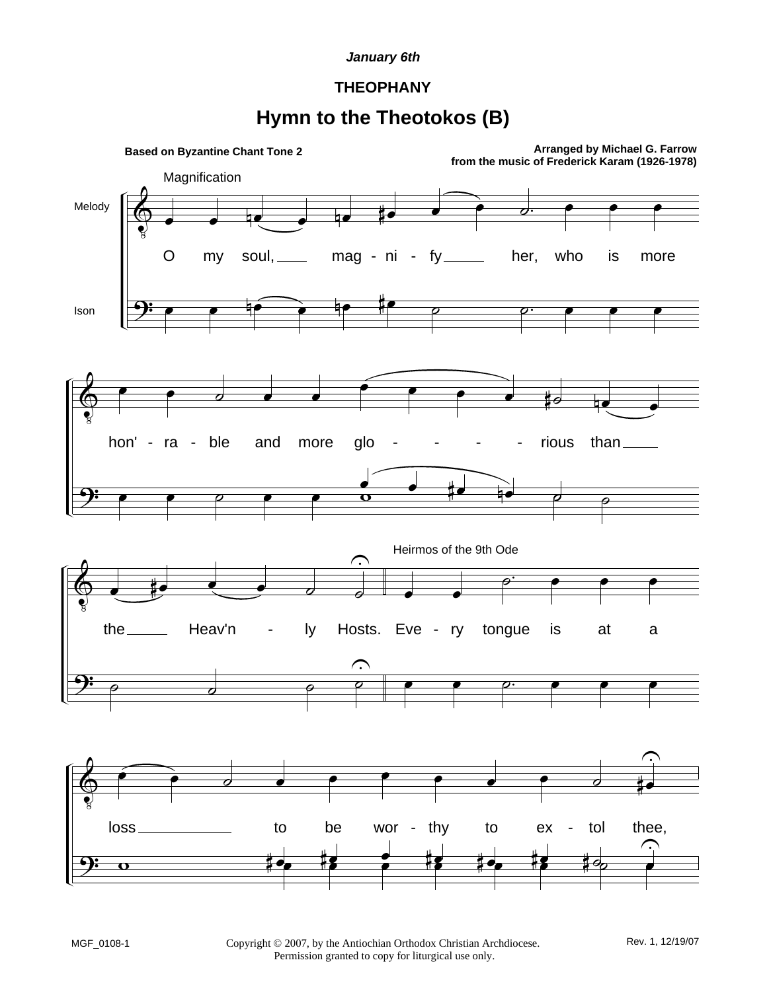### **THEOPHANY**

## **Hymn to the Theotokos (B)**

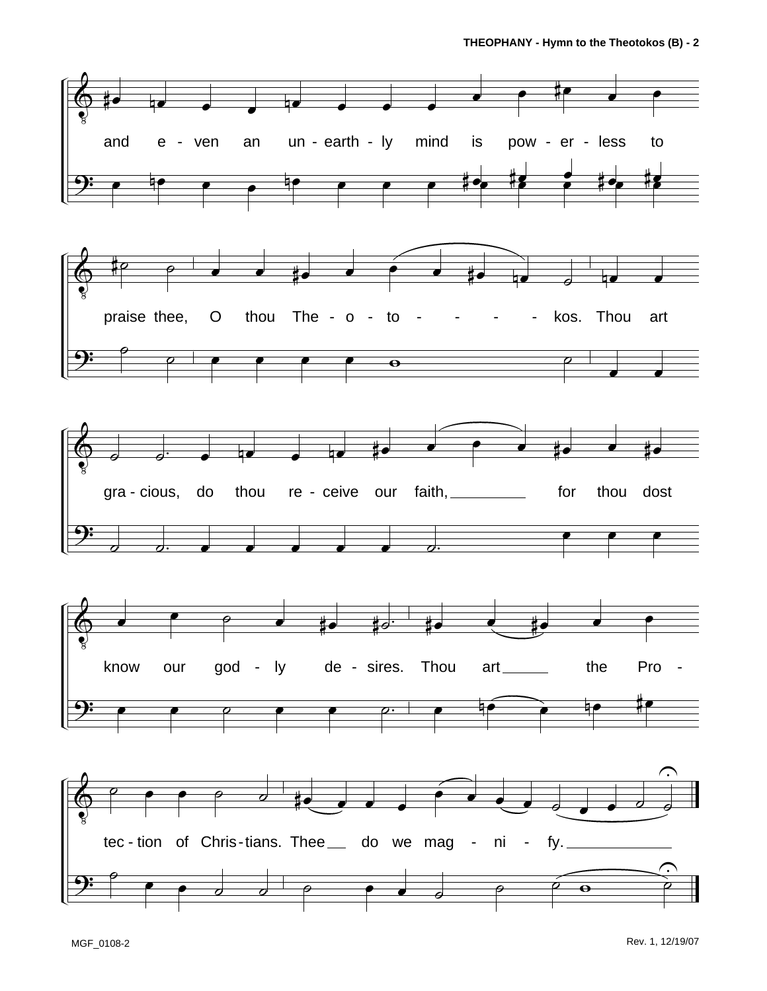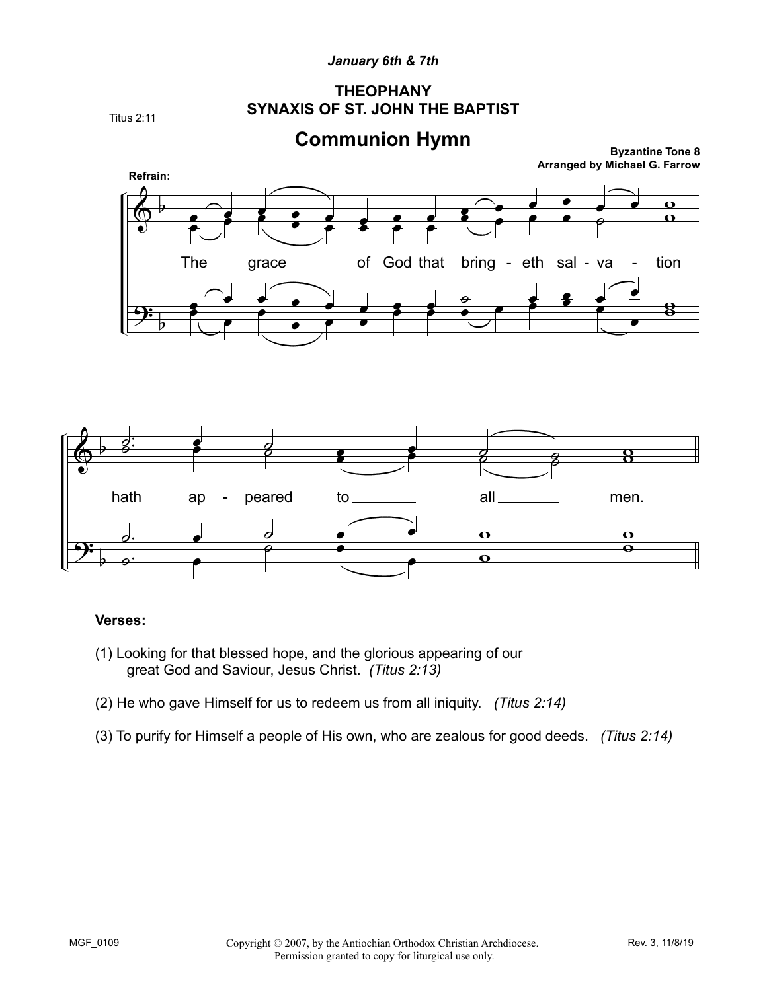### *January 6th & 7th*

### **THEOPHANY SYNAXIS OF ST. JOHN THE BAPTIST**

Titus 2:11





### **Verses:**

- (1) Looking for that blessed hope, and the glorious appearing of our great God and Saviour, Jesus Christ. *(Titus 2:13)*
- (2) He who gave Himself for us to redeem us from all iniquity. *(Titus 2:14)*
- (3) To purify for Himself a people of His own, who are zealous for good deeds. *(Titus 2:14)*